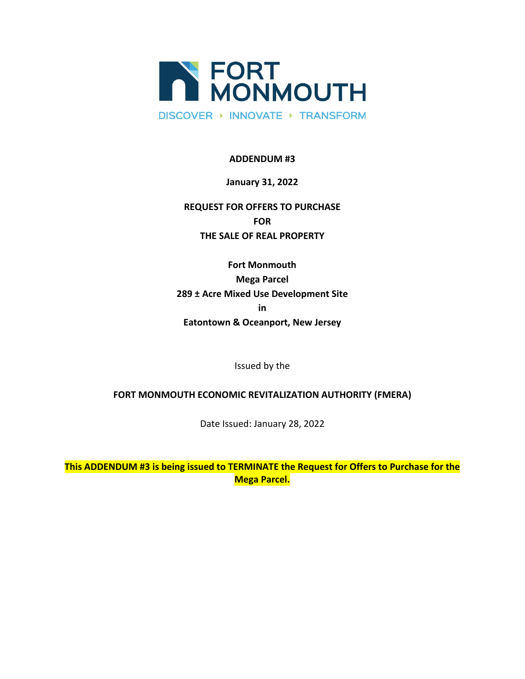

## **ADDENDUM #3**

## **January 31, 2022**

# **REQUEST FOR OFFERS TO PURCHASE FOR THE SALE OF REAL PROPERTY**

**Fort Monmouth Mega Parcel 289 ± Acre Mixed Use Development Site in Eatontown & Oceanport, New Jersey**

Issued by the

## **FORT MONMOUTH ECONOMIC REVITALIZATION AUTHORITY (FMERA)**

Date Issued: January 28, 2022

**This ADDENDUM #3 is being issued to TERMINATE the Request for Offers to Purchase for the Mega Parcel.**